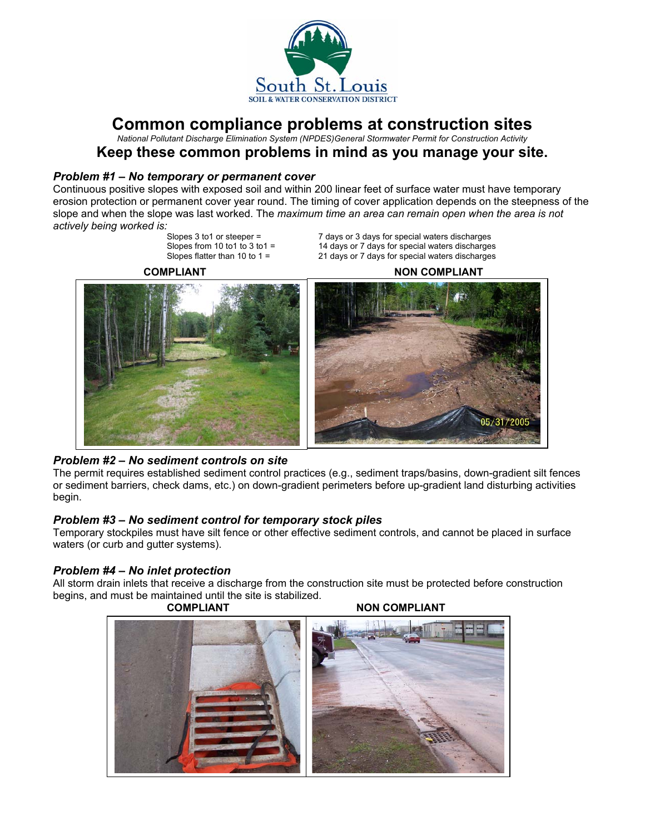

# **Common compliance problems at construction sites**

*National Pollutant Discharge Elimination System (NPDES)General Stormwater Permit for Construction Activity* 

## **Keep these common problems in mind as you manage your site.**

#### *Problem #1 – No temporary or permanent cover*

Continuous positive slopes with exposed soil and within 200 linear feet of surface water must have temporary erosion protection or permanent cover year round. The timing of cover application depends on the steepness of the slope and when the slope was last worked. The *maximum time an area can remain open when the area is not actively being worked is:* 

Slopes 3 to 1 or steeper = 7 days or 3 days for special waters discharges<br>Slopes from 10 to 1 to 3 to 1 = 14 days or 7 days for special waters discharges Slopes from 10 to 1 to 3 to 1 = 14 days or 7 days for special waters discharges<br>Slopes flatter than 10 to 1 = 21 days or 7 days for special waters discharges 21 days or 7 days for special waters discharges

**COMPLIANT NON COMPLIANT** 



## *Problem #2 – No sediment controls on site*

The permit requires established sediment control practices (e.g., sediment traps/basins, down-gradient silt fences or sediment barriers, check dams, etc.) on down-gradient perimeters before up-gradient land disturbing activities begin.

## *Problem #3 – No sediment control for temporary stock piles*

Temporary stockpiles must have silt fence or other effective sediment controls, and cannot be placed in surface waters (or curb and gutter systems).

## *Problem #4 – No inlet protection*

All storm drain inlets that receive a discharge from the construction site must be protected before construction begins, and must be maintained until the site is stabilized.



**COMPLIANT NON COMPLIANT**